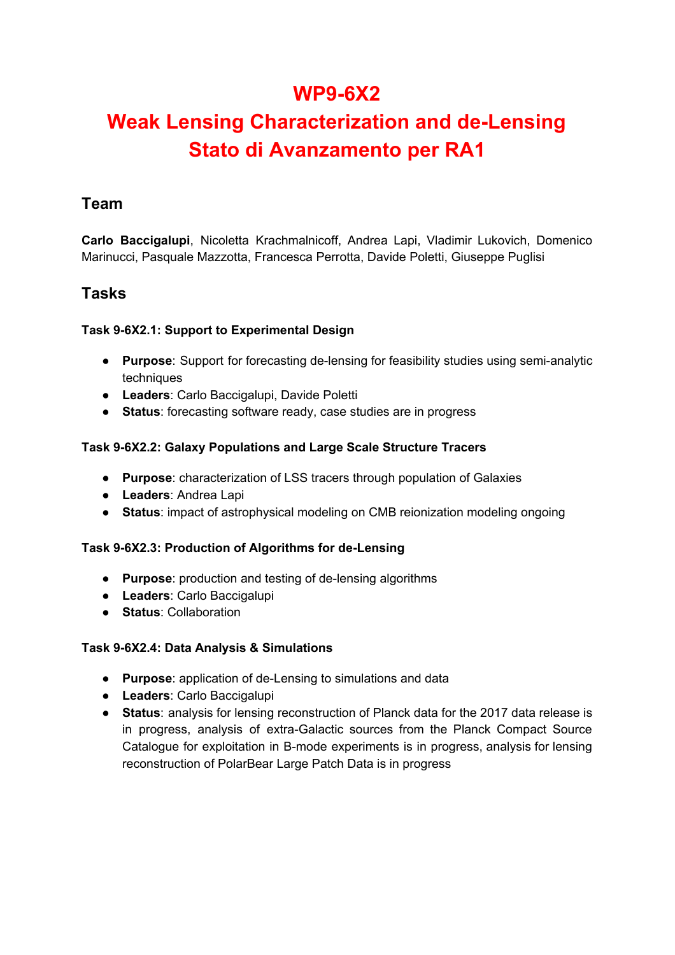# **WP9-6X2**

# **Weak Lensing Characterization and de-Lensing Stato di Avanzamento per RA1**

### **Team**

**Carlo Baccigalupi**, Nicoletta Krachmalnicoff, Andrea Lapi, Vladimir Lukovich, Domenico Marinucci, Pasquale Mazzotta, Francesca Perrotta, Davide Poletti, Giuseppe Puglisi

## **Tasks**

#### **Task 9-6X2.1: Support to Experimental Design**

- **Purpose**: Support for forecasting de-lensing for feasibility studies using semi-analytic techniques
- **Leaders**: Carlo Baccigalupi, Davide Poletti
- **Status**: forecasting software ready, case studies are in progress

#### **Task 9-6X2.2: Galaxy Populations and Large Scale Structure Tracers**

- **Purpose**: characterization of LSS tracers through population of Galaxies
- **Leaders**: Andrea Lapi
- **Status**: impact of astrophysical modeling on CMB reionization modeling ongoing

#### **Task 9-6X2.3: Production of Algorithms for de-Lensing**

- **Purpose**: production and testing of de-lensing algorithms
- **Leaders**: Carlo Baccigalupi
- **Status**: Collaboration

#### **Task 9-6X2.4: Data Analysis & Simulations**

- **Purpose**: application of de-Lensing to simulations and data
- **Leaders**: Carlo Baccigalupi
- **Status**: analysis for lensing reconstruction of Planck data for the 2017 data release is in progress, analysis of extra-Galactic sources from the Planck Compact Source Catalogue for exploitation in B-mode experiments is in progress, analysis for lensing reconstruction of PolarBear Large Patch Data is in progress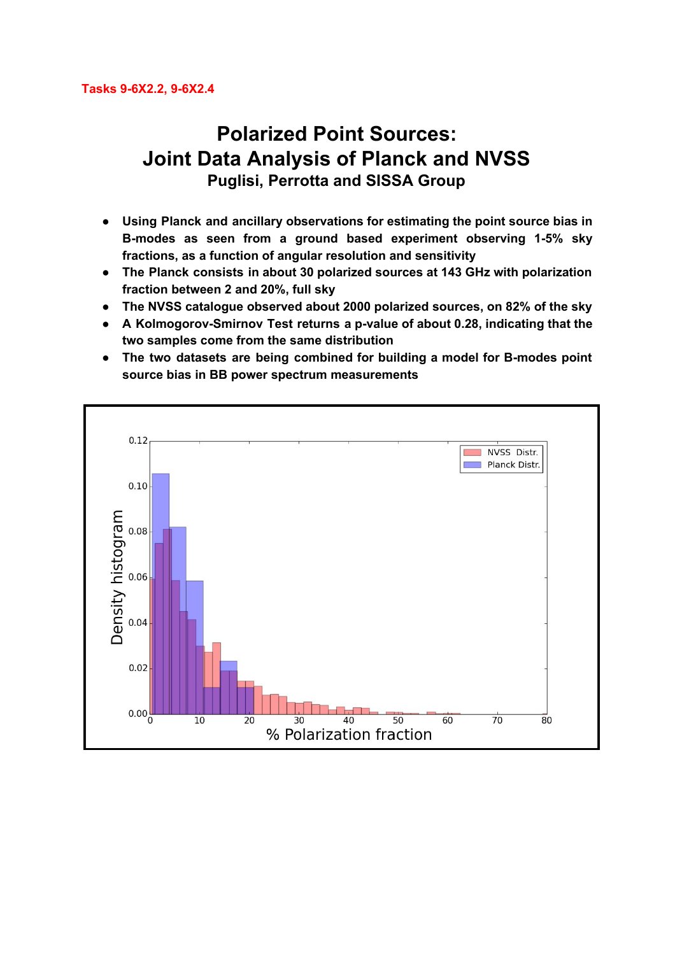# **Polarized Point Sources: Joint Data Analysis of Planck and NVSS Puglisi, Perrotta and SISSA Group**

- **● Using Planck and ancillary observations for estimating the point source bias in B-modes as seen from a ground based experiment observing 1-5% sky fractions, as a function of angular resolution and sensitivity**
- **● The Planck consists in about 30 polarized sources at 143 GHz with polarization fraction between 2 and 20%, full sky**
- **● The NVSS catalogue observed about 2000 polarized sources, on 82% of the sky**
- **● A Kolmogorov-Smirnov Test returns a p-value of about 0.28, indicating that the two samples come from the same distribution**
- **● The two datasets are being combined for building a model for B-modes point source bias in BB power spectrum measurements**